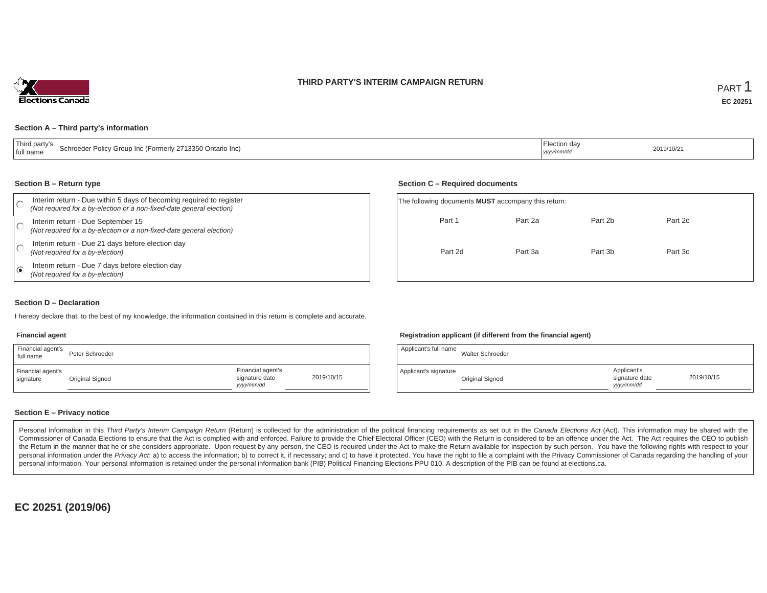### **THIRD PARTY'S INTERIM CAMPAIGN RETURN**



### **Section A – Third party's information**

| Third party's<br>Schroeder Policy Group Inc (Formerly 2713350 Ontario Inc)<br>I full name | Election day<br>yyyy/mm/dc | 2019/10/21 |
|-------------------------------------------------------------------------------------------|----------------------------|------------|
|-------------------------------------------------------------------------------------------|----------------------------|------------|

#### **Section B – Return type**

|      | Interim return - Due within 5 days of becoming required to register<br>(Not required for a by-election or a non-fixed-date general election) | The following documents <b>MUST</b> accompany this return: |         |         |         |  |  |
|------|----------------------------------------------------------------------------------------------------------------------------------------------|------------------------------------------------------------|---------|---------|---------|--|--|
|      | Interim return - Due September 15<br>(Not required for a by-election or a non-fixed-date general election)                                   | Part 1                                                     | Part 2a | Part 2b | Part 2c |  |  |
|      | Interim return - Due 21 days before election day<br>(Not required for a by-election)                                                         | Part 2d                                                    | Part 3a | Part 3b | Part 3c |  |  |
| ه، ا | Interim return - Due 7 days before election day<br>(Not required for a by-election)                                                          |                                                            |         |         |         |  |  |

### **Section D – Declaration**

I hereby declare that, to the best of my knowledge, the information contained in this return is complete and accurate.

#### **Financial agent**

| Financial agent's<br>full name | Peter Schroeder |                                                  |            |
|--------------------------------|-----------------|--------------------------------------------------|------------|
| Financial agent's<br>signature | Original Signed | Financial agent's<br>signature date<br>vyy/mm/dd | 2019/10/15 |

### **Registration applicant (if different from the financial agent)**

**Section C – Required documents**

| Applicant's full name | Walter Schroeder |                                             |            |
|-----------------------|------------------|---------------------------------------------|------------|
| Applicant's signature | Original Signed  | Applicant's<br>signature date<br>yyyy/mm/dd | 2019/10/15 |

### **Section E – Privacy notice**

Personal information in this Third Party's Interim Campaign Return (Return) is collected for the administration of the political financing requirements as set out in the Canada Elections Act (Act). This information may be Commissioner of Canada Elections to ensure that the Act is complied with and enforced. Failure to provide the Chief Electoral Officer (CEO) with the Return is considered to be an offence under the Act. The Act requires the the Return in the manner that he or she considers appropriate. Upon request by any person, the CEO is required under the Act to make the Return available for inspection by such person. You have the following rights with re personal information under the Privacy Act. a) to access the information; b) to correct it, if necessary; and c) to have it protected. You have the right to file a complaint with the Privacy Commissioner of Canada regardin personal information. Your personal information is retained under the personal information bank (PIB) Political Financing Elections PPU 010. A description of the PIB can be found at elections.ca.

**EC 20251 (2019/06)**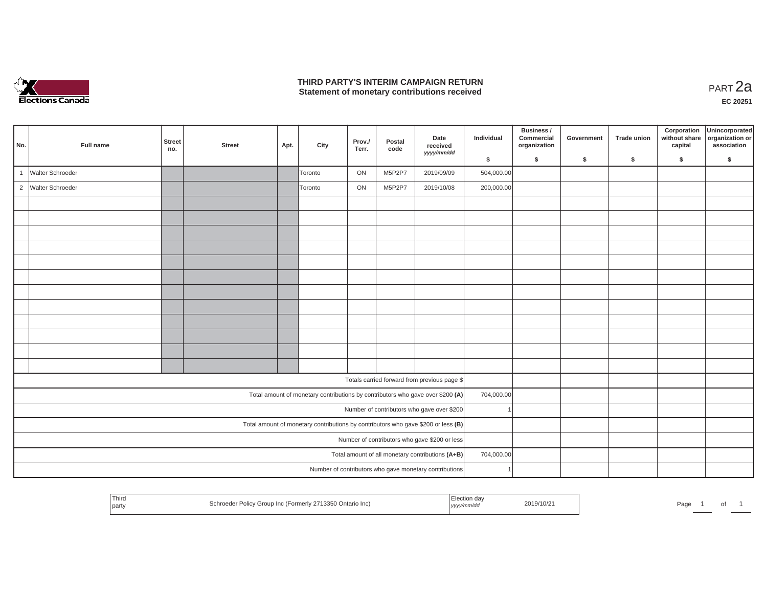

## **THIRD PARTY'S INTERIM CAMPAIGN RETURN THIRD PARTY'S INTERIM CAMPAIGN RETURN<br>Statement of monetary contributions received PART 2a**

| No.          | Full name          | <b>Street</b><br>no. | <b>Street</b> | Apt. | City    | Prov./<br>Terr. | Postal<br>code | Date<br>received<br>yyyy/mm/dd                                                      | Individual | Business /<br>Commercial<br>organization | Government | <b>Trade union</b> | Corporation<br>without share<br>capital | Unincorporated<br>organization or<br>association |
|--------------|--------------------|----------------------|---------------|------|---------|-----------------|----------------|-------------------------------------------------------------------------------------|------------|------------------------------------------|------------|--------------------|-----------------------------------------|--------------------------------------------------|
|              |                    |                      |               |      |         |                 |                |                                                                                     | \$         | \$                                       | \$         | \$                 | \$                                      | \$                                               |
| $\mathbf{1}$ | Walter Schroeder   |                      |               |      | Toronto | ON              | M5P2P7         | 2019/09/09                                                                          | 504,000.00 |                                          |            |                    |                                         |                                                  |
|              | 2 Walter Schroeder |                      |               |      | Toronto | ON              | M5P2P7         | 2019/10/08                                                                          | 200,000.00 |                                          |            |                    |                                         |                                                  |
|              |                    |                      |               |      |         |                 |                |                                                                                     |            |                                          |            |                    |                                         |                                                  |
|              |                    |                      |               |      |         |                 |                |                                                                                     |            |                                          |            |                    |                                         |                                                  |
|              |                    |                      |               |      |         |                 |                |                                                                                     |            |                                          |            |                    |                                         |                                                  |
|              |                    |                      |               |      |         |                 |                |                                                                                     |            |                                          |            |                    |                                         |                                                  |
|              |                    |                      |               |      |         |                 |                |                                                                                     |            |                                          |            |                    |                                         |                                                  |
|              |                    |                      |               |      |         |                 |                |                                                                                     |            |                                          |            |                    |                                         |                                                  |
|              |                    |                      |               |      |         |                 |                |                                                                                     |            |                                          |            |                    |                                         |                                                  |
|              |                    |                      |               |      |         |                 |                |                                                                                     |            |                                          |            |                    |                                         |                                                  |
|              |                    |                      |               |      |         |                 |                |                                                                                     |            |                                          |            |                    |                                         |                                                  |
|              |                    |                      |               |      |         |                 |                |                                                                                     |            |                                          |            |                    |                                         |                                                  |
|              |                    |                      |               |      |         |                 |                |                                                                                     |            |                                          |            |                    |                                         |                                                  |
|              |                    |                      |               |      |         |                 |                |                                                                                     |            |                                          |            |                    |                                         |                                                  |
|              |                    |                      |               |      |         |                 |                | Totals carried forward from previous page \$                                        |            |                                          |            |                    |                                         |                                                  |
|              |                    |                      |               |      |         |                 |                | Total amount of monetary contributions by contributors who gave over \$200 (A)      | 704,000.00 |                                          |            |                    |                                         |                                                  |
|              |                    |                      |               |      |         |                 |                | Number of contributors who gave over \$200                                          |            |                                          |            |                    |                                         |                                                  |
|              |                    |                      |               |      |         |                 |                | Total amount of monetary contributions by contributors who gave \$200 or less $(B)$ |            |                                          |            |                    |                                         |                                                  |
|              |                    |                      |               |      |         |                 |                | Number of contributors who gave \$200 or less                                       |            |                                          |            |                    |                                         |                                                  |
|              |                    |                      |               |      |         |                 |                | Total amount of all monetary contributions (A+B)                                    | 704,000.00 |                                          |            |                    |                                         |                                                  |
|              |                    |                      |               |      |         |                 |                | Number of contributors who gave monetary contributions                              |            |                                          |            |                    |                                         |                                                  |

| Third<br>Election day<br>2019/10/21<br>Schroeder Policy Group Inc (Formerly 2713350 Ontario Inc)<br>Page<br>.<br>  party<br>, yyyy/mm/dd |  |  | ັ |  |
|------------------------------------------------------------------------------------------------------------------------------------------|--|--|---|--|
|------------------------------------------------------------------------------------------------------------------------------------------|--|--|---|--|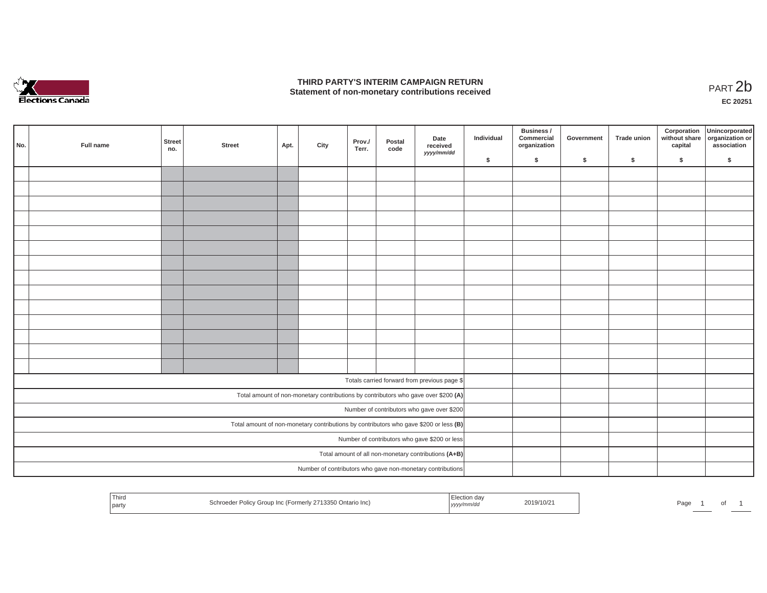

## **THIRD PARTY'S INTERIM CAMPAIGN RETURN**  THIRD PARTY'S INTERIM CAMPAIGN RETURN<br>Statement of non-monetary contributions received<br>**PART 2**b

**EC 20251**

| No.                                           | Full name | Street<br>no. | <b>Street</b> | Apt. | City | Prov./<br>Terr. | Postal<br>code | Date<br>received<br>yyyy/mm/dd                                                        | Individual | Business /<br>Commercial<br>organization | Government | Trade union | Corporation<br>capital | Unincorporated<br>without share organization or<br>association |
|-----------------------------------------------|-----------|---------------|---------------|------|------|-----------------|----------------|---------------------------------------------------------------------------------------|------------|------------------------------------------|------------|-------------|------------------------|----------------------------------------------------------------|
|                                               |           |               |               |      |      |                 |                |                                                                                       | \$         | $\mathsf{s}$                             | \$         | $\sqrt{2}$  | \$                     | \$                                                             |
|                                               |           |               |               |      |      |                 |                |                                                                                       |            |                                          |            |             |                        |                                                                |
|                                               |           |               |               |      |      |                 |                |                                                                                       |            |                                          |            |             |                        |                                                                |
|                                               |           |               |               |      |      |                 |                |                                                                                       |            |                                          |            |             |                        |                                                                |
|                                               |           |               |               |      |      |                 |                |                                                                                       |            |                                          |            |             |                        |                                                                |
|                                               |           |               |               |      |      |                 |                |                                                                                       |            |                                          |            |             |                        |                                                                |
|                                               |           |               |               |      |      |                 |                |                                                                                       |            |                                          |            |             |                        |                                                                |
|                                               |           |               |               |      |      |                 |                |                                                                                       |            |                                          |            |             |                        |                                                                |
|                                               |           |               |               |      |      |                 |                |                                                                                       |            |                                          |            |             |                        |                                                                |
|                                               |           |               |               |      |      |                 |                |                                                                                       |            |                                          |            |             |                        |                                                                |
|                                               |           |               |               |      |      |                 |                |                                                                                       |            |                                          |            |             |                        |                                                                |
|                                               |           |               |               |      |      |                 |                |                                                                                       |            |                                          |            |             |                        |                                                                |
|                                               |           |               |               |      |      |                 |                |                                                                                       |            |                                          |            |             |                        |                                                                |
|                                               |           |               |               |      |      |                 |                |                                                                                       |            |                                          |            |             |                        |                                                                |
|                                               |           |               |               |      |      |                 |                |                                                                                       |            |                                          |            |             |                        |                                                                |
|                                               |           |               |               |      |      |                 |                |                                                                                       |            |                                          |            |             |                        |                                                                |
|                                               |           |               |               |      |      |                 |                | Totals carried forward from previous page \$                                          |            |                                          |            |             |                        |                                                                |
|                                               |           |               |               |      |      |                 |                | Total amount of non-monetary contributions by contributors who gave over \$200 (A)    |            |                                          |            |             |                        |                                                                |
|                                               |           |               |               |      |      |                 |                | Number of contributors who gave over \$200                                            |            |                                          |            |             |                        |                                                                |
|                                               |           |               |               |      |      |                 |                | Total amount of non-monetary contributions by contributors who gave \$200 or less (B) |            |                                          |            |             |                        |                                                                |
| Number of contributors who gave \$200 or less |           |               |               |      |      |                 |                |                                                                                       |            |                                          |            |             |                        |                                                                |
|                                               |           |               |               |      |      |                 |                | Total amount of all non-monetary contributions (A+B)                                  |            |                                          |            |             |                        |                                                                |
|                                               |           |               |               |      |      |                 |                | Number of contributors who gave non-monetary contributions                            |            |                                          |            |             |                        |                                                                |
|                                               |           |               |               |      |      |                 |                |                                                                                       |            |                                          |            |             |                        |                                                                |

| <sup>1</sup> Third<br>party | Schroeder Policy Group Inc (Formerly 2713350 Ontario Inc) | Election day<br>, yyyy/mm/dd | 2019/10/21 | Page | וש |  |
|-----------------------------|-----------------------------------------------------------|------------------------------|------------|------|----|--|
|                             |                                                           |                              |            |      |    |  |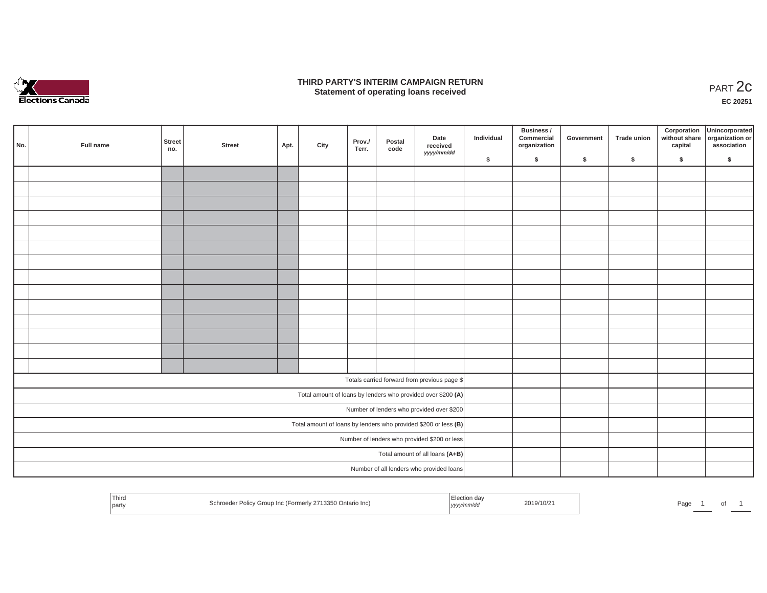

### **THIRD PARTY'S INTERIM CAMPAIGN RETURN**  RD PARTY'S INTERIM CAMPAIGN RETURN<br>Statement of operating loans received **PART 2c**

**EC 20251**

| No.                                                             | Full name | Street<br>no. | <b>Street</b> | Apt. | City | Prov./<br>Terr. | Postal<br>code | Date<br>received<br>yyyy/mm/dd                               | Individual | <b>Business /</b><br>Commercial<br>organization | Government | Trade union | Corporation<br>capital | Unincorporated<br>without share organization or<br>association |
|-----------------------------------------------------------------|-----------|---------------|---------------|------|------|-----------------|----------------|--------------------------------------------------------------|------------|-------------------------------------------------|------------|-------------|------------------------|----------------------------------------------------------------|
|                                                                 |           |               |               |      |      |                 |                |                                                              | \$         | \$                                              | \$         | \$          | \$                     | \$                                                             |
|                                                                 |           |               |               |      |      |                 |                |                                                              |            |                                                 |            |             |                        |                                                                |
|                                                                 |           |               |               |      |      |                 |                |                                                              |            |                                                 |            |             |                        |                                                                |
|                                                                 |           |               |               |      |      |                 |                |                                                              |            |                                                 |            |             |                        |                                                                |
|                                                                 |           |               |               |      |      |                 |                |                                                              |            |                                                 |            |             |                        |                                                                |
|                                                                 |           |               |               |      |      |                 |                |                                                              |            |                                                 |            |             |                        |                                                                |
|                                                                 |           |               |               |      |      |                 |                |                                                              |            |                                                 |            |             |                        |                                                                |
|                                                                 |           |               |               |      |      |                 |                |                                                              |            |                                                 |            |             |                        |                                                                |
|                                                                 |           |               |               |      |      |                 |                |                                                              |            |                                                 |            |             |                        |                                                                |
|                                                                 |           |               |               |      |      |                 |                |                                                              |            |                                                 |            |             |                        |                                                                |
|                                                                 |           |               |               |      |      |                 |                |                                                              |            |                                                 |            |             |                        |                                                                |
|                                                                 |           |               |               |      |      |                 |                |                                                              |            |                                                 |            |             |                        |                                                                |
|                                                                 |           |               |               |      |      |                 |                |                                                              |            |                                                 |            |             |                        |                                                                |
|                                                                 |           |               |               |      |      |                 |                |                                                              |            |                                                 |            |             |                        |                                                                |
|                                                                 |           |               |               |      |      |                 |                |                                                              |            |                                                 |            |             |                        |                                                                |
|                                                                 |           |               |               |      |      |                 |                |                                                              |            |                                                 |            |             |                        |                                                                |
|                                                                 |           |               |               |      |      |                 |                | Totals carried forward from previous page \$                 |            |                                                 |            |             |                        |                                                                |
|                                                                 |           |               |               |      |      |                 |                | Total amount of loans by lenders who provided over \$200 (A) |            |                                                 |            |             |                        |                                                                |
|                                                                 |           |               |               |      |      |                 |                | Number of lenders who provided over \$200                    |            |                                                 |            |             |                        |                                                                |
| Total amount of loans by lenders who provided \$200 or less (B) |           |               |               |      |      |                 |                |                                                              |            |                                                 |            |             |                        |                                                                |
| Number of lenders who provided \$200 or less                    |           |               |               |      |      |                 |                |                                                              |            |                                                 |            |             |                        |                                                                |
|                                                                 |           |               |               |      |      |                 |                | Total amount of all loans (A+B)                              |            |                                                 |            |             |                        |                                                                |
|                                                                 |           |               |               |      |      |                 |                | Number of all lenders who provided loans                     |            |                                                 |            |             |                        |                                                                |
|                                                                 |           |               |               |      |      |                 |                |                                                              |            |                                                 |            |             |                        |                                                                |

| Third<br>`ction da∨<br>2019/10/2<br>Schroeder Policy Group Inc (Formerly 2713350 Ontario Inc)<br>Page<br>yyyy/mm/dd<br>l party |  |  |  |
|--------------------------------------------------------------------------------------------------------------------------------|--|--|--|
|--------------------------------------------------------------------------------------------------------------------------------|--|--|--|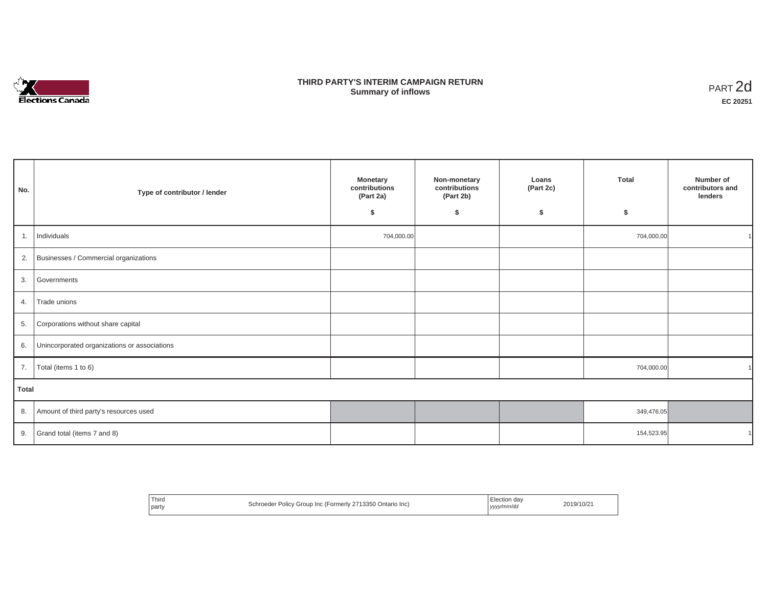

# **THIRD PARTY'S INTERIM CAMPAIGN RETURN SUMMARY STATE SUMMARY OF A SUMMARY OF A SUMMARY OF A SUMMARY OF A SUMMARY OF A SUMMARY OF A SUMMARY OF A SUMMA**<br> **Summary of inflows**

| No.          | Type of contributor / lender                    | <b>Monetary</b><br>contributions<br>(Part 2a)<br>\$ | Non-monetary<br>contributions<br>(Part 2b)<br>\$ | Loans<br>(Part 2c)<br>\$ | <b>Total</b><br>\$ | Number of<br>contributors and<br>lenders |
|--------------|-------------------------------------------------|-----------------------------------------------------|--------------------------------------------------|--------------------------|--------------------|------------------------------------------|
| 1.           | Individuals                                     | 704,000.00                                          |                                                  |                          | 704,000.00         |                                          |
|              | 2. Businesses / Commercial organizations        |                                                     |                                                  |                          |                    |                                          |
| 3.           | Governments                                     |                                                     |                                                  |                          |                    |                                          |
| 4.           | Trade unions                                    |                                                     |                                                  |                          |                    |                                          |
|              | 5. Corporations without share capital           |                                                     |                                                  |                          |                    |                                          |
|              | 6. Unincorporated organizations or associations |                                                     |                                                  |                          |                    |                                          |
| 7.           | Total (items 1 to 6)                            |                                                     |                                                  |                          | 704,000.00         |                                          |
| <b>Total</b> |                                                 |                                                     |                                                  |                          |                    |                                          |
|              | 8. Amount of third party's resources used       |                                                     |                                                  |                          | 349,476.05         |                                          |
| 9.           | Grand total (items 7 and 8)                     |                                                     |                                                  |                          | 154,523.95         |                                          |

| <sup>1</sup> Third<br>l partv | Schroeder Policy Group Inc (Formerly 2713350 Ontario Inc) | Election day<br>yyyy/mm/dd | 2019/10/21 |
|-------------------------------|-----------------------------------------------------------|----------------------------|------------|
|-------------------------------|-----------------------------------------------------------|----------------------------|------------|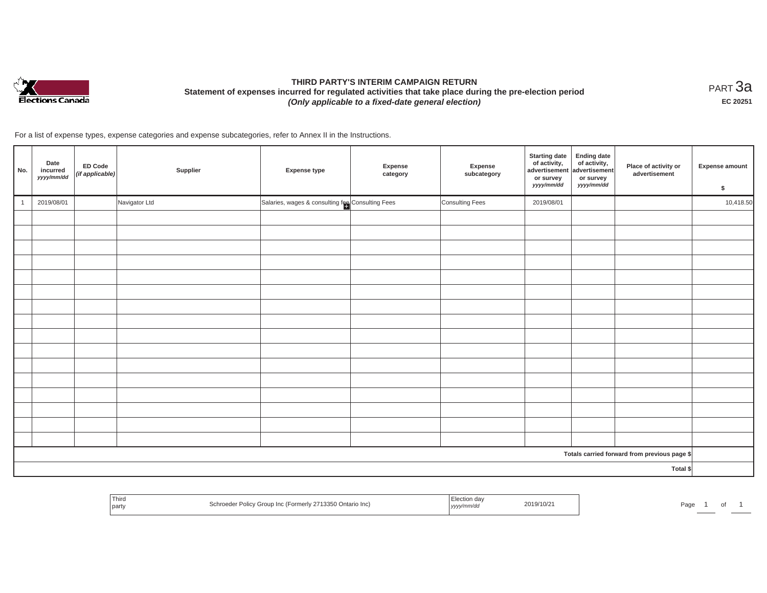

# **THIRD PARTY'S INTERIM CAMPAIGN RETURN Statement of expenses incurred for regulated activities that take place during the pre-election period**  *(Only applicable to a fixed-date general election)*

<code>PART $3$ a</code> **EC 20251**

For a list of expense types, expense categories and expense subcategories, refer to Annex II in the Instructions.

| No.      | Date<br>incurred<br>yyyy/mm/dd | <b>ED Code</b><br>(if applicable) | Supplier      | <b>Expense type</b>                              | Expense<br>category | Expense<br>subcategory | <b>Starting date</b><br>of activity,<br>advertisement<br>or survey<br>yyyy/mm/dd | <b>Ending date</b><br>$\begin{array}{c} \text{ of activity,} \\ \text{advertisement} \end{array}$<br>or survey<br>yyyy/mm/dd | Place of activity or<br>advertisement        | Expense amount<br>\$ |
|----------|--------------------------------|-----------------------------------|---------------|--------------------------------------------------|---------------------|------------------------|----------------------------------------------------------------------------------|------------------------------------------------------------------------------------------------------------------------------|----------------------------------------------|----------------------|
|          | 2019/08/01                     |                                   | Navigator Ltd | Salaries, wages & consulting fee Consulting Fees |                     | Consulting Fees        | 2019/08/01                                                                       |                                                                                                                              |                                              | 10,418.50            |
|          |                                |                                   |               |                                                  |                     |                        |                                                                                  |                                                                                                                              |                                              |                      |
|          |                                |                                   |               |                                                  |                     |                        |                                                                                  |                                                                                                                              |                                              |                      |
|          |                                |                                   |               |                                                  |                     |                        |                                                                                  |                                                                                                                              |                                              |                      |
|          |                                |                                   |               |                                                  |                     |                        |                                                                                  |                                                                                                                              |                                              |                      |
|          |                                |                                   |               |                                                  |                     |                        |                                                                                  |                                                                                                                              |                                              |                      |
|          |                                |                                   |               |                                                  |                     |                        |                                                                                  |                                                                                                                              |                                              |                      |
|          |                                |                                   |               |                                                  |                     |                        |                                                                                  |                                                                                                                              |                                              |                      |
|          |                                |                                   |               |                                                  |                     |                        |                                                                                  |                                                                                                                              |                                              |                      |
|          |                                |                                   |               |                                                  |                     |                        |                                                                                  |                                                                                                                              |                                              |                      |
|          |                                |                                   |               |                                                  |                     |                        |                                                                                  |                                                                                                                              |                                              |                      |
|          |                                |                                   |               |                                                  |                     |                        |                                                                                  |                                                                                                                              |                                              |                      |
|          |                                |                                   |               |                                                  |                     |                        |                                                                                  |                                                                                                                              |                                              |                      |
|          |                                |                                   |               |                                                  |                     |                        |                                                                                  |                                                                                                                              |                                              |                      |
|          |                                |                                   |               |                                                  |                     |                        |                                                                                  |                                                                                                                              |                                              |                      |
|          |                                |                                   |               |                                                  |                     |                        |                                                                                  |                                                                                                                              |                                              |                      |
|          |                                |                                   |               |                                                  |                     |                        |                                                                                  |                                                                                                                              |                                              |                      |
|          |                                |                                   |               |                                                  |                     |                        |                                                                                  |                                                                                                                              | Totals carried forward from previous page \$ |                      |
| Total \$ |                                |                                   |               |                                                  |                     |                        |                                                                                  |                                                                                                                              |                                              |                      |

| Third<br>l party | Schroeder Policy Group Inc (Formerly 2713350 Ontario Inc) | Flection da√<br>yyyy/mm/dd | 2019/10/21 | Page |  |
|------------------|-----------------------------------------------------------|----------------------------|------------|------|--|
|------------------|-----------------------------------------------------------|----------------------------|------------|------|--|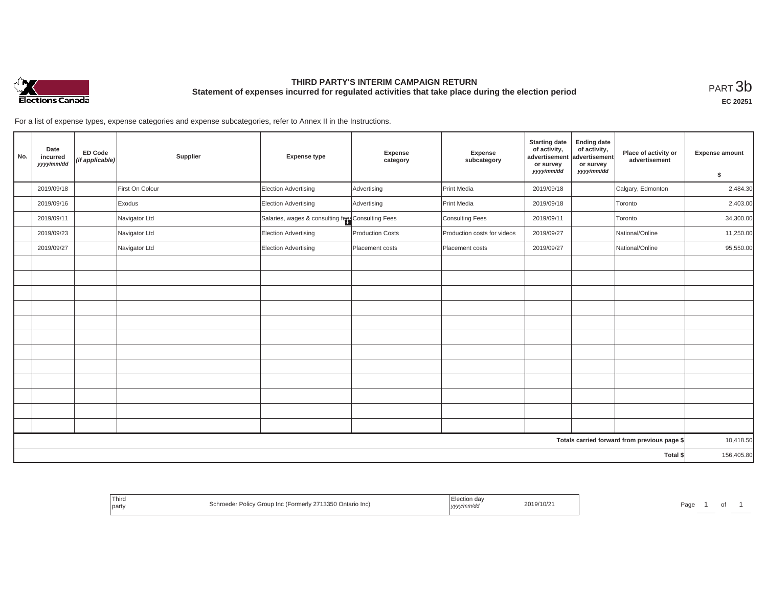

# **THIRD PARTY'S INTERIM CAMPAIGN RETURN Statement of expenses incurred for regulated activities that take place during the election period**<br>РАRТ  $3\mathrm{b}$

**EC 20251**

For a list of expense types, expense categories and expense subcategories, refer to Annex II in the Instructions.

| No. | Date<br>incurred<br>yyyy/mm/dd | <b>ED Code</b><br>(if applicable) | Supplier        | <b>Expense type</b>                               | Expense<br>category | Expense<br>subcategory      | <b>Starting date</b><br>of activity,<br>advertisement<br>or survey<br>yyyy/mm/dd | <b>Ending date</b><br>of activity,<br>advertisement<br>or survey<br>yyyy/mm/dd | Place of activity or<br>advertisement        | <b>Expense amount</b> |
|-----|--------------------------------|-----------------------------------|-----------------|---------------------------------------------------|---------------------|-----------------------------|----------------------------------------------------------------------------------|--------------------------------------------------------------------------------|----------------------------------------------|-----------------------|
|     |                                |                                   |                 |                                                   |                     |                             |                                                                                  |                                                                                |                                              | \$                    |
|     | 2019/09/18                     |                                   | First On Colour | <b>Election Advertising</b>                       | Advertising         | Print Media                 | 2019/09/18                                                                       |                                                                                | Calgary, Edmonton                            | 2,484.30              |
|     | 2019/09/16                     |                                   | Exodus          | <b>Election Advertising</b>                       | Advertising         | Print Media                 | 2019/09/18                                                                       |                                                                                | Toronto                                      | 2,403.00              |
|     | 2019/09/11                     |                                   | Navigator Ltd   | Salaries, wages & consulting fees Consulting Fees |                     | Consulting Fees             | 2019/09/11                                                                       |                                                                                | Toronto                                      | 34,300.00             |
|     | 2019/09/23                     |                                   | Navigator Ltd   | <b>Election Advertising</b>                       | Production Costs    | Production costs for videos | 2019/09/27                                                                       |                                                                                | National/Online                              | 11,250.00             |
|     | 2019/09/27                     |                                   | Navigator Ltd   | <b>Election Advertising</b>                       | Placement costs     | Placement costs             | 2019/09/27                                                                       |                                                                                | National/Online                              | 95,550.00             |
|     |                                |                                   |                 |                                                   |                     |                             |                                                                                  |                                                                                |                                              |                       |
|     |                                |                                   |                 |                                                   |                     |                             |                                                                                  |                                                                                |                                              |                       |
|     |                                |                                   |                 |                                                   |                     |                             |                                                                                  |                                                                                |                                              |                       |
|     |                                |                                   |                 |                                                   |                     |                             |                                                                                  |                                                                                |                                              |                       |
|     |                                |                                   |                 |                                                   |                     |                             |                                                                                  |                                                                                |                                              |                       |
|     |                                |                                   |                 |                                                   |                     |                             |                                                                                  |                                                                                |                                              |                       |
|     |                                |                                   |                 |                                                   |                     |                             |                                                                                  |                                                                                |                                              |                       |
|     |                                |                                   |                 |                                                   |                     |                             |                                                                                  |                                                                                |                                              |                       |
|     |                                |                                   |                 |                                                   |                     |                             |                                                                                  |                                                                                |                                              |                       |
|     |                                |                                   |                 |                                                   |                     |                             |                                                                                  |                                                                                |                                              |                       |
|     |                                |                                   |                 |                                                   |                     |                             |                                                                                  |                                                                                |                                              |                       |
|     |                                |                                   |                 |                                                   |                     |                             |                                                                                  |                                                                                |                                              |                       |
|     |                                |                                   |                 |                                                   |                     |                             |                                                                                  |                                                                                | Totals carried forward from previous page \$ | 10,418.50             |
|     |                                |                                   |                 |                                                   |                     |                             |                                                                                  |                                                                                | Total \$                                     | 156,405.80            |

| Third<br>V 2713350 Ontario Inc)<br>∠ Group Inc (Formerly 1<br>r Policy<br>the contract of the con-<br>l party | 2019/10/2<br>yyyy/mm/aa | Page |
|---------------------------------------------------------------------------------------------------------------|-------------------------|------|
|---------------------------------------------------------------------------------------------------------------|-------------------------|------|